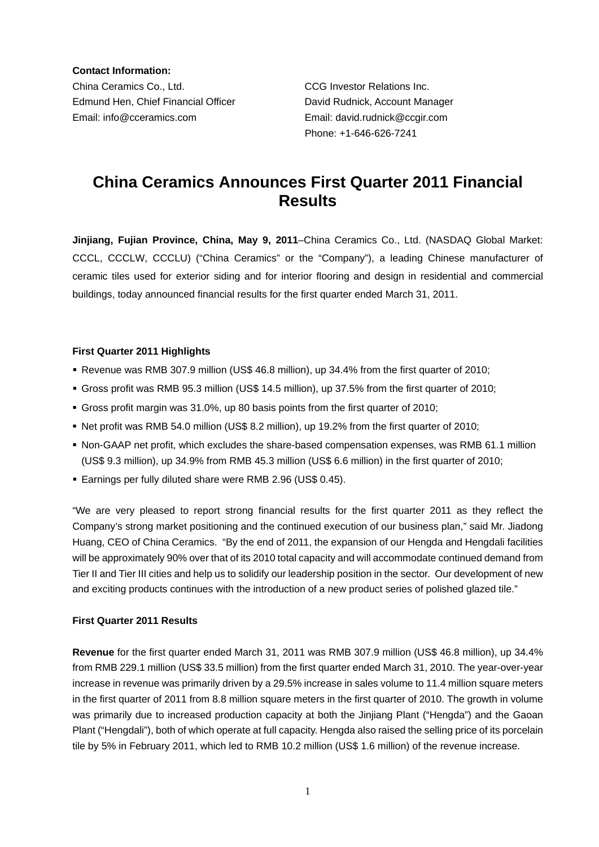**Contact Information:**  China Ceramics Co., Ltd. CCG Investor Relations Inc. Edmund Hen, Chief Financial Officer David Rudnick, Account Manager Email: info@cceramics.com Email: david.rudnick@ccgir.com

Phone: +1-646-626-7241

# **China Ceramics Announces First Quarter 2011 Financial Results**

**Jinjiang, Fujian Province, China, May 9, 2011**–China Ceramics Co., Ltd. (NASDAQ Global Market: CCCL, CCCLW, CCCLU) ("China Ceramics" or the "Company"), a leading Chinese manufacturer of ceramic tiles used for exterior siding and for interior flooring and design in residential and commercial buildings, today announced financial results for the first quarter ended March 31, 2011.

## **First Quarter 2011 Highlights**

- Revenue was RMB 307.9 million (US\$ 46.8 million), up 34.4% from the first quarter of 2010;
- Gross profit was RMB 95.3 million (US\$ 14.5 million), up 37.5% from the first quarter of 2010;
- Gross profit margin was 31.0%, up 80 basis points from the first quarter of 2010;
- Net profit was RMB 54.0 million (US\$ 8.2 million), up 19.2% from the first quarter of 2010;
- Non-GAAP net profit, which excludes the share-based compensation expenses, was RMB 61.1 million (US\$ 9.3 million), up 34.9% from RMB 45.3 million (US\$ 6.6 million) in the first quarter of 2010;
- Earnings per fully diluted share were RMB 2.96 (US\$ 0.45).

"We are very pleased to report strong financial results for the first quarter 2011 as they reflect the Company's strong market positioning and the continued execution of our business plan," said Mr. Jiadong Huang, CEO of China Ceramics. "By the end of 2011, the expansion of our Hengda and Hengdali facilities will be approximately 90% over that of its 2010 total capacity and will accommodate continued demand from Tier II and Tier III cities and help us to solidify our leadership position in the sector. Our development of new and exciting products continues with the introduction of a new product series of polished glazed tile."

## **First Quarter 2011 Results**

**Revenue** for the first quarter ended March 31, 2011 was RMB 307.9 million (US\$ 46.8 million), up 34.4% from RMB 229.1 million (US\$ 33.5 million) from the first quarter ended March 31, 2010. The year-over-year increase in revenue was primarily driven by a 29.5% increase in sales volume to 11.4 million square meters in the first quarter of 2011 from 8.8 million square meters in the first quarter of 2010. The growth in volume was primarily due to increased production capacity at both the Jinjiang Plant ("Hengda") and the Gaoan Plant ("Hengdali"), both of which operate at full capacity. Hengda also raised the selling price of its porcelain tile by 5% in February 2011, which led to RMB 10.2 million (US\$ 1.6 million) of the revenue increase.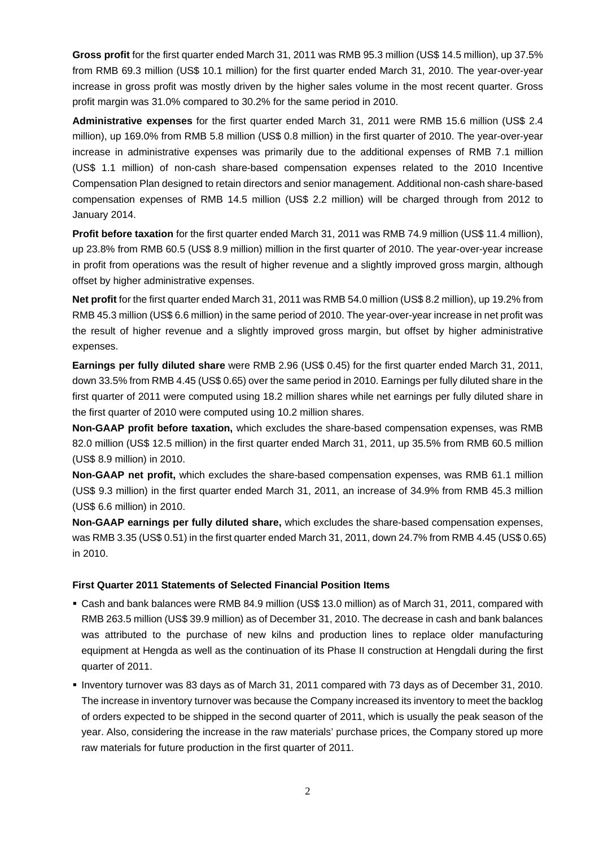**Gross profit** for the first quarter ended March 31, 2011 was RMB 95.3 million (US\$ 14.5 million), up 37.5% from RMB 69.3 million (US\$ 10.1 million) for the first quarter ended March 31, 2010. The year-over-year increase in gross profit was mostly driven by the higher sales volume in the most recent quarter. Gross profit margin was 31.0% compared to 30.2% for the same period in 2010.

**Administrative expenses** for the first quarter ended March 31, 2011 were RMB 15.6 million (US\$ 2.4 million), up 169.0% from RMB 5.8 million (US\$ 0.8 million) in the first quarter of 2010. The year-over-year increase in administrative expenses was primarily due to the additional expenses of RMB 7.1 million (US\$ 1.1 million) of non-cash share-based compensation expenses related to the 2010 Incentive Compensation Plan designed to retain directors and senior management. Additional non-cash share-based compensation expenses of RMB 14.5 million (US\$ 2.2 million) will be charged through from 2012 to January 2014.

**Profit before taxation** for the first quarter ended March 31, 2011 was RMB 74.9 million (US\$ 11.4 million), up 23.8% from RMB 60.5 (US\$ 8.9 million) million in the first quarter of 2010. The year-over-year increase in profit from operations was the result of higher revenue and a slightly improved gross margin, although offset by higher administrative expenses.

**Net profit** for the first quarter ended March 31, 2011 was RMB 54.0 million (US\$ 8.2 million), up 19.2% from RMB 45.3 million (US\$ 6.6 million) in the same period of 2010. The year-over-year increase in net profit was the result of higher revenue and a slightly improved gross margin, but offset by higher administrative expenses.

**Earnings per fully diluted share** were RMB 2.96 (US\$ 0.45) for the first quarter ended March 31, 2011, down 33.5% from RMB 4.45 (US\$ 0.65) over the same period in 2010. Earnings per fully diluted share in the first quarter of 2011 were computed using 18.2 million shares while net earnings per fully diluted share in the first quarter of 2010 were computed using 10.2 million shares.

**Non-GAAP profit before taxation,** which excludes the share-based compensation expenses, was RMB 82.0 million (US\$ 12.5 million) in the first quarter ended March 31, 2011, up 35.5% from RMB 60.5 million (US\$ 8.9 million) in 2010.

**Non-GAAP net profit,** which excludes the share-based compensation expenses, was RMB 61.1 million (US\$ 9.3 million) in the first quarter ended March 31, 2011, an increase of 34.9% from RMB 45.3 million (US\$ 6.6 million) in 2010.

**Non-GAAP earnings per fully diluted share,** which excludes the share-based compensation expenses, was RMB 3.35 (US\$ 0.51) in the first quarter ended March 31, 2011, down 24.7% from RMB 4.45 (US\$ 0.65) in 2010.

## **First Quarter 2011 Statements of Selected Financial Position Items**

- Cash and bank balances were RMB 84.9 million (US\$ 13.0 million) as of March 31, 2011, compared with RMB 263.5 million (US\$ 39.9 million) as of December 31, 2010. The decrease in cash and bank balances was attributed to the purchase of new kilns and production lines to replace older manufacturing equipment at Hengda as well as the continuation of its Phase II construction at Hengdali during the first quarter of 2011.
- Inventory turnover was 83 days as of March 31, 2011 compared with 73 days as of December 31, 2010. The increase in inventory turnover was because the Company increased its inventory to meet the backlog of orders expected to be shipped in the second quarter of 2011, which is usually the peak season of the year. Also, considering the increase in the raw materials' purchase prices, the Company stored up more raw materials for future production in the first quarter of 2011.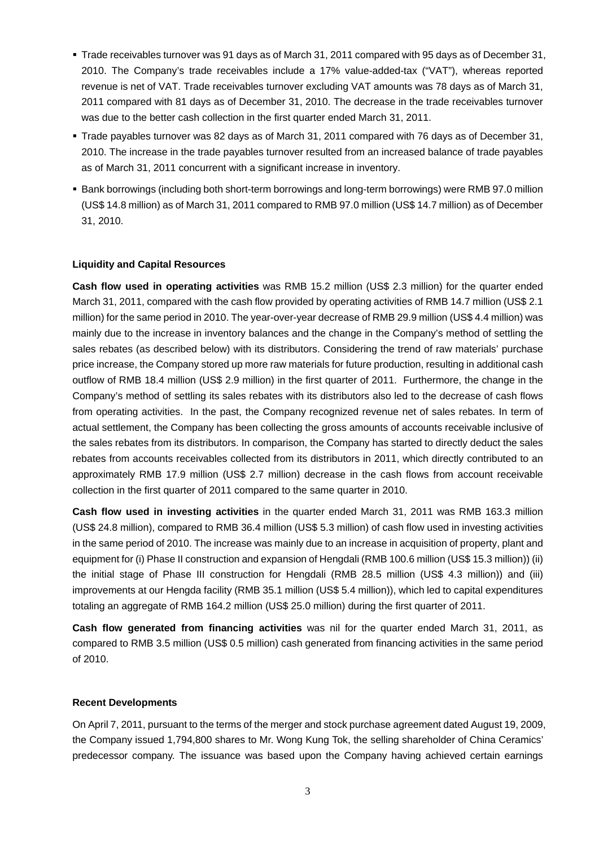- Trade receivables turnover was 91 days as of March 31, 2011 compared with 95 days as of December 31, 2010. The Company's trade receivables include a 17% value-added-tax ("VAT"), whereas reported revenue is net of VAT. Trade receivables turnover excluding VAT amounts was 78 days as of March 31, 2011 compared with 81 days as of December 31, 2010. The decrease in the trade receivables turnover was due to the better cash collection in the first quarter ended March 31, 2011.
- Trade payables turnover was 82 days as of March 31, 2011 compared with 76 days as of December 31, 2010. The increase in the trade payables turnover resulted from an increased balance of trade payables as of March 31, 2011 concurrent with a significant increase in inventory.
- **Bank borrowings (including both short-term borrowings and long-term borrowings) were RMB 97.0 million** (US\$ 14.8 million) as of March 31, 2011 compared to RMB 97.0 million (US\$ 14.7 million) as of December 31, 2010.

## **Liquidity and Capital Resources**

**Cash flow used in operating activities** was RMB 15.2 million (US\$ 2.3 million) for the quarter ended March 31, 2011, compared with the cash flow provided by operating activities of RMB 14.7 million (US\$ 2.1 million) for the same period in 2010. The year-over-year decrease of RMB 29.9 million (US\$ 4.4 million) was mainly due to the increase in inventory balances and the change in the Company's method of settling the sales rebates (as described below) with its distributors. Considering the trend of raw materials' purchase price increase, the Company stored up more raw materials for future production, resulting in additional cash outflow of RMB 18.4 million (US\$ 2.9 million) in the first quarter of 2011. Furthermore, the change in the Company's method of settling its sales rebates with its distributors also led to the decrease of cash flows from operating activities. In the past, the Company recognized revenue net of sales rebates. In term of actual settlement, the Company has been collecting the gross amounts of accounts receivable inclusive of the sales rebates from its distributors. In comparison, the Company has started to directly deduct the sales rebates from accounts receivables collected from its distributors in 2011, which directly contributed to an approximately RMB 17.9 million (US\$ 2.7 million) decrease in the cash flows from account receivable collection in the first quarter of 2011 compared to the same quarter in 2010.

**Cash flow used in investing activities** in the quarter ended March 31, 2011 was RMB 163.3 million (US\$ 24.8 million), compared to RMB 36.4 million (US\$ 5.3 million) of cash flow used in investing activities in the same period of 2010. The increase was mainly due to an increase in acquisition of property, plant and equipment for (i) Phase II construction and expansion of Hengdali (RMB 100.6 million (US\$ 15.3 million)) (ii) the initial stage of Phase III construction for Hengdali (RMB 28.5 million (US\$ 4.3 million)) and (iii) improvements at our Hengda facility (RMB 35.1 million (US\$ 5.4 million)), which led to capital expenditures totaling an aggregate of RMB 164.2 million (US\$ 25.0 million) during the first quarter of 2011.

**Cash flow generated from financing activities** was nil for the quarter ended March 31, 2011, as compared to RMB 3.5 million (US\$ 0.5 million) cash generated from financing activities in the same period of 2010.

## **Recent Developments**

On April 7, 2011, pursuant to the terms of the merger and stock purchase agreement dated August 19, 2009, the Company issued 1,794,800 shares to Mr. Wong Kung Tok, the selling shareholder of China Ceramics' predecessor company. The issuance was based upon the Company having achieved certain earnings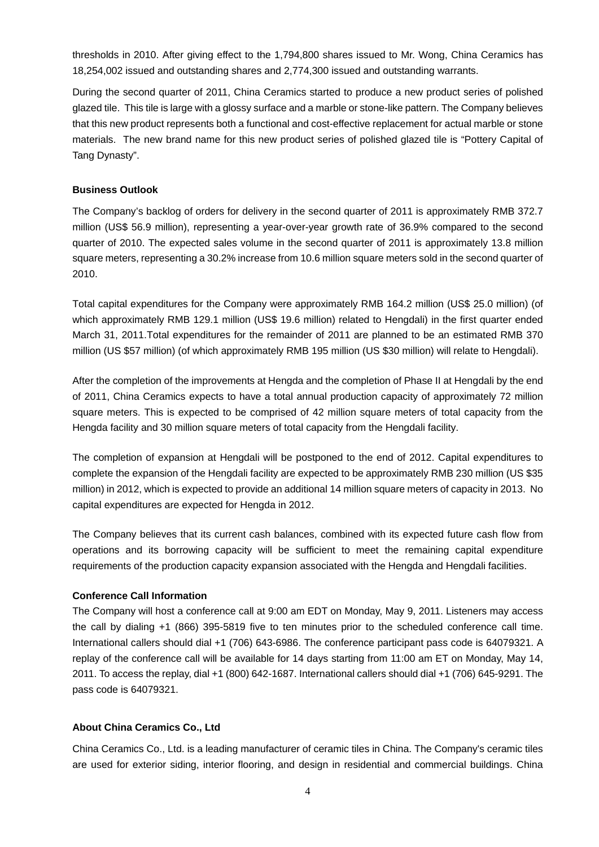thresholds in 2010. After giving effect to the 1,794,800 shares issued to Mr. Wong, China Ceramics has 18,254,002 issued and outstanding shares and 2,774,300 issued and outstanding warrants.

During the second quarter of 2011, China Ceramics started to produce a new product series of polished glazed tile. This tile is large with a glossy surface and a marble or stone-like pattern. The Company believes that this new product represents both a functional and cost-effective replacement for actual marble or stone materials. The new brand name for this new product series of polished glazed tile is "Pottery Capital of Tang Dynasty".

#### **Business Outlook**

The Company's backlog of orders for delivery in the second quarter of 2011 is approximately RMB 372.7 million (US\$ 56.9 million), representing a year-over-year growth rate of 36.9% compared to the second quarter of 2010. The expected sales volume in the second quarter of 2011 is approximately 13.8 million square meters, representing a 30.2% increase from 10.6 million square meters sold in the second quarter of 2010.

Total capital expenditures for the Company were approximately RMB 164.2 million (US\$ 25.0 million) (of which approximately RMB 129.1 million (US\$ 19.6 million) related to Hengdali) in the first quarter ended March 31, 2011.Total expenditures for the remainder of 2011 are planned to be an estimated RMB 370 million (US \$57 million) (of which approximately RMB 195 million (US \$30 million) will relate to Hengdali).

After the completion of the improvements at Hengda and the completion of Phase II at Hengdali by the end of 2011, China Ceramics expects to have a total annual production capacity of approximately 72 million square meters. This is expected to be comprised of 42 million square meters of total capacity from the Hengda facility and 30 million square meters of total capacity from the Hengdali facility.

The completion of expansion at Hengdali will be postponed to the end of 2012. Capital expenditures to complete the expansion of the Hengdali facility are expected to be approximately RMB 230 million (US \$35 million) in 2012, which is expected to provide an additional 14 million square meters of capacity in 2013. No capital expenditures are expected for Hengda in 2012.

The Company believes that its current cash balances, combined with its expected future cash flow from operations and its borrowing capacity will be sufficient to meet the remaining capital expenditure requirements of the production capacity expansion associated with the Hengda and Hengdali facilities.

## **Conference Call Information**

The Company will host a conference call at 9:00 am EDT on Monday, May 9, 2011. Listeners may access the call by dialing +1 (866) 395-5819 five to ten minutes prior to the scheduled conference call time. International callers should dial +1 (706) 643-6986. The conference participant pass code is 64079321. A replay of the conference call will be available for 14 days starting from 11:00 am ET on Monday, May 14, 2011. To access the replay, dial +1 (800) 642-1687. International callers should dial +1 (706) 645-9291. The pass code is 64079321.

#### **About China Ceramics Co., Ltd**

China Ceramics Co., Ltd. is a leading manufacturer of ceramic tiles in China. The Company's ceramic tiles are used for exterior siding, interior flooring, and design in residential and commercial buildings. China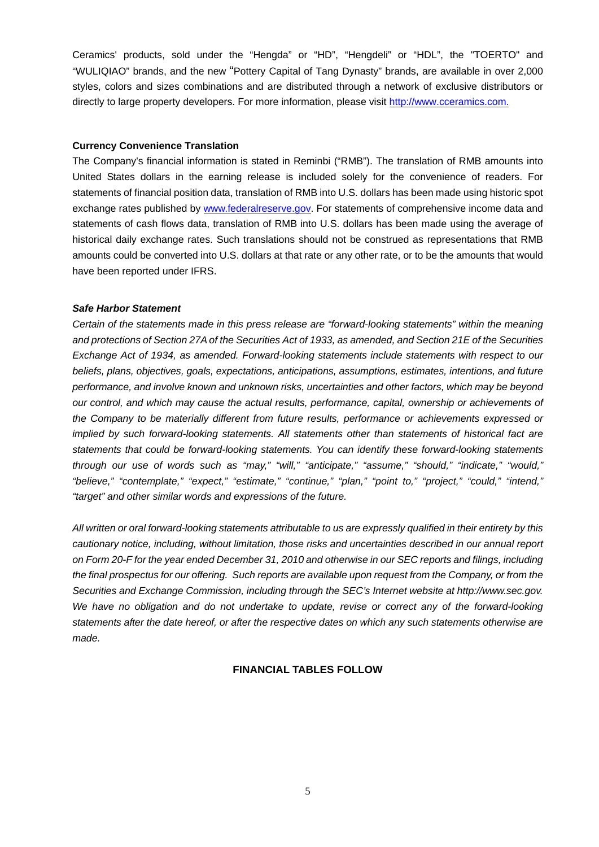Ceramics' products, sold under the "Hengda" or "HD", "Hengdeli" or "HDL", the "TOERTO" and "WULIQIAO" brands, and the new "Pottery Capital of Tang Dynasty" brands, are available in over 2,000 styles, colors and sizes combinations and are distributed through a network of exclusive distributors or directly to large property developers. For more information, please visit [http://www.cceramics.com](http://www.cceramics.com/).

#### **Currency Convenience Translation**

The Company's financial information is stated in Reminbi ("RMB"). The translation of RMB amounts into United States dollars in the earning release is included solely for the convenience of readers. For statements of financial position data, translation of RMB into U.S. dollars has been made using historic spot exchange rates published by [www.federalreserve.gov](http://www.federalreserve.gov/). For statements of comprehensive income data and statements of cash flows data, translation of RMB into U.S. dollars has been made using the average of historical daily exchange rates. Such translations should not be construed as representations that RMB amounts could be converted into U.S. dollars at that rate or any other rate, or to be the amounts that would have been reported under IFRS.

#### *Safe Harbor Statement*

*Certain of the statements made in this press release are "forward-looking statements" within the meaning and protections of Section 27A of the Securities Act of 1933, as amended, and Section 21E of the Securities Exchange Act of 1934, as amended. Forward-looking statements include statements with respect to our beliefs, plans, objectives, goals, expectations, anticipations, assumptions, estimates, intentions, and future performance, and involve known and unknown risks, uncertainties and other factors, which may be beyond our control, and which may cause the actual results, performance, capital, ownership or achievements of the Company to be materially different from future results, performance or achievements expressed or implied by such forward-looking statements. All statements other than statements of historical fact are statements that could be forward-looking statements. You can identify these forward-looking statements through our use of words such as "may," "will," "anticipate," "assume," "should," "indicate," "would," "believe," "contemplate," "expect," "estimate," "continue," "plan," "point to," "project," "could," "intend," "target" and other similar words and expressions of the future.* 

*All written or oral forward-looking statements attributable to us are expressly qualified in their entirety by this cautionary notice, including, without limitation, those risks and uncertainties described in our annual report on Form 20-F for the year ended December 31, 2010 and otherwise in our SEC reports and filings, including the final prospectus for our offering. Such reports are available upon request from the Company, or from the Securities and Exchange Commission, including through the SEC's Internet website at http://www.sec.gov. We have no obligation and do not undertake to update, revise or correct any of the forward-looking statements after the date hereof, or after the respective dates on which any such statements otherwise are made.* 

## **FINANCIAL TABLES FOLLOW**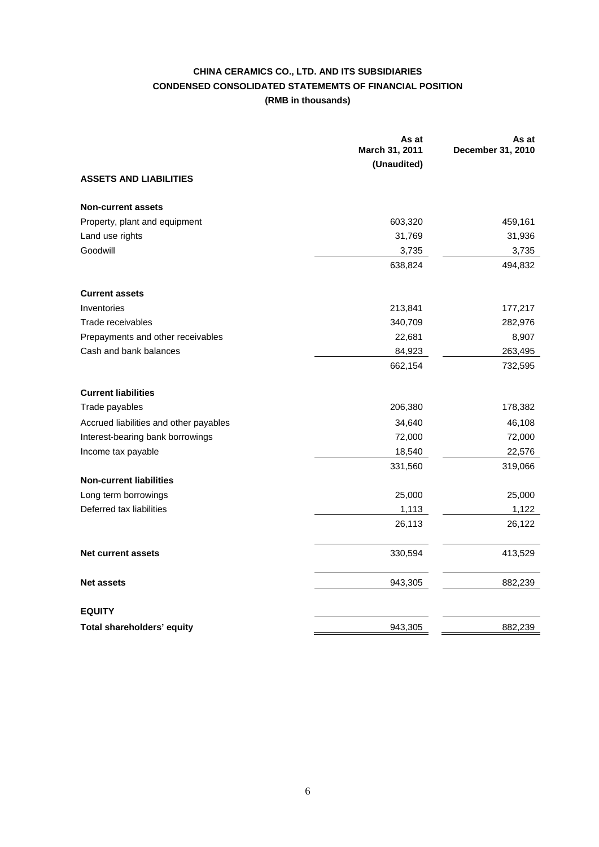# **CHINA CERAMICS CO., LTD. AND ITS SUBSIDIARIES CONDENSED CONSOLIDATED STATEMEMTS OF FINANCIAL POSITION (RMB in thousands)**

|                                        | As at<br>March 31, 2011 | As at<br>December 31, 2010 |
|----------------------------------------|-------------------------|----------------------------|
|                                        | (Unaudited)             |                            |
| <b>ASSETS AND LIABILITIES</b>          |                         |                            |
| <b>Non-current assets</b>              |                         |                            |
| Property, plant and equipment          | 603,320                 | 459,161                    |
| Land use rights                        | 31,769                  | 31,936                     |
| Goodwill                               | 3,735                   | 3,735                      |
|                                        | 638,824                 | 494,832                    |
| <b>Current assets</b>                  |                         |                            |
| Inventories                            | 213,841                 | 177,217                    |
| Trade receivables                      | 340,709                 | 282,976                    |
| Prepayments and other receivables      | 22,681                  | 8,907                      |
| Cash and bank balances                 | 84,923                  | 263,495                    |
|                                        | 662,154                 | 732,595                    |
| <b>Current liabilities</b>             |                         |                            |
| Trade payables                         | 206,380                 | 178,382                    |
| Accrued liabilities and other payables | 34,640                  | 46,108                     |
| Interest-bearing bank borrowings       | 72,000                  | 72,000                     |
| Income tax payable                     | 18,540                  | 22,576                     |
|                                        | 331,560                 | 319,066                    |
| <b>Non-current liabilities</b>         |                         |                            |
| Long term borrowings                   | 25,000                  | 25,000                     |
| Deferred tax liabilities               | 1,113                   | 1,122                      |
|                                        | 26,113                  | 26,122                     |
| <b>Net current assets</b>              | 330,594                 | 413,529                    |
| <b>Net assets</b>                      | 943,305                 | 882,239                    |
| <b>EQUITY</b>                          |                         |                            |
| Total shareholders' equity             | 943,305                 | 882,239                    |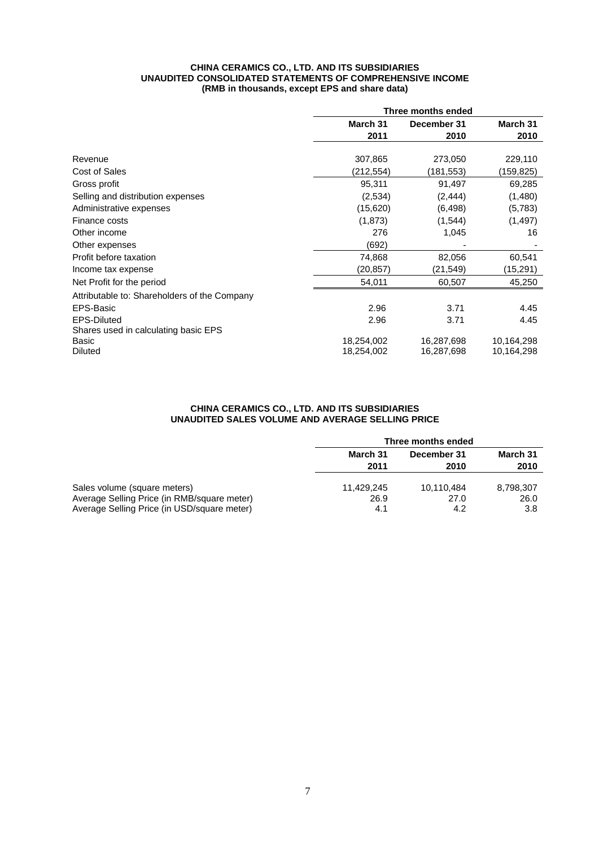#### **CHINA CERAMICS CO., LTD. AND ITS SUBSIDIARIES UNAUDITED CONSOLIDATED STATEMENTS OF COMPREHENSIVE INCOME (RMB in thousands, except EPS and share data)**

|                                              | Three months ended |             |            |
|----------------------------------------------|--------------------|-------------|------------|
|                                              | March 31           | December 31 | March 31   |
|                                              | 2011               | 2010        | 2010       |
|                                              |                    |             |            |
| Revenue                                      | 307,865            | 273,050     | 229,110    |
| Cost of Sales                                | (212,554)          | (181,553)   | (159,825)  |
| Gross profit                                 | 95,311             | 91,497      | 69,285     |
| Selling and distribution expenses            | (2,534)            | (2, 444)    | (1,480)    |
| Administrative expenses                      | (15,620)           | (6, 498)    | (5,783)    |
| Finance costs                                | (1,873)            | (1, 544)    | (1, 497)   |
| Other income                                 | 276                | 1,045       | 16         |
| Other expenses                               | (692)              |             |            |
| Profit before taxation                       | 74,868             | 82,056      | 60,541     |
| Income tax expense                           | (20,857)           | (21,549)    | (15,291)   |
| Net Profit for the period                    | 54,011             | 60,507      | 45,250     |
| Attributable to: Shareholders of the Company |                    |             |            |
| EPS-Basic                                    | 2.96               | 3.71        | 4.45       |
| <b>EPS-Diluted</b>                           | 2.96               | 3.71        | 4.45       |
| Shares used in calculating basic EPS         |                    |             |            |
| Basic                                        | 18,254,002         | 16,287,698  | 10,164,298 |
| <b>Diluted</b>                               | 18,254,002         | 16,287,698  | 10,164,298 |

#### **CHINA CERAMICS CO., LTD. AND ITS SUBSIDIARIES UNAUDITED SALES VOLUME AND AVERAGE SELLING PRICE**

|                                             | Three months ended |             |           |
|---------------------------------------------|--------------------|-------------|-----------|
|                                             | March 31           | December 31 | March 31  |
|                                             | 2011               | 2010        | 2010      |
|                                             |                    |             |           |
| Sales volume (square meters)                | 11.429.245         | 10.110.484  | 8,798,307 |
| Average Selling Price (in RMB/square meter) | 26.9               | 27.0        | 26.0      |
| Average Selling Price (in USD/square meter) | 4.1                | 4.2         | 3.8       |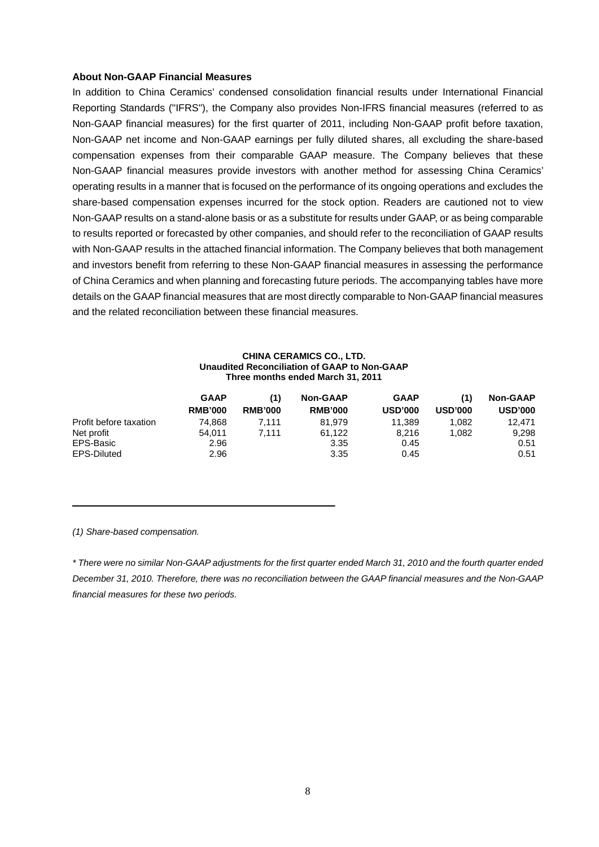#### **About Non-GAAP Financial Measures**

In addition to China Ceramics' condensed consolidation financial results under International Financial Reporting Standards ("IFRS"), the Company also provides Non-IFRS financial measures (referred to as Non-GAAP financial measures) for the first quarter of 2011, including Non-GAAP profit before taxation, Non-GAAP net income and Non-GAAP earnings per fully diluted shares, all excluding the share-based compensation expenses from their comparable GAAP measure. The Company believes that these Non-GAAP financial measures provide investors with another method for assessing China Ceramics' operating results in a manner that is focused on the performance of its ongoing operations and excludes the share-based compensation expenses incurred for the stock option. Readers are cautioned not to view Non-GAAP results on a stand-alone basis or as a substitute for results under GAAP, or as being comparable to results reported or forecasted by other companies, and should refer to the reconciliation of GAAP results with Non-GAAP results in the attached financial information. The Company believes that both management and investors benefit from referring to these Non-GAAP financial measures in assessing the performance of China Ceramics and when planning and forecasting future periods. The accompanying tables have more details on the GAAP financial measures that are most directly comparable to Non-GAAP financial measures and the related reconciliation between these financial measures.

#### **CHINA CERAMICS CO., LTD. Unaudited Reconciliation of GAAP to Non-GAAP Three months ended March 31, 2011**

|                        | <b>GAAP</b><br><b>RMB'000</b> | (1)<br><b>RMB'000</b> | <b>Non-GAAP</b><br><b>RMB'000</b> | <b>GAAP</b><br><b>USD'000</b> | (1)<br><b>USD'000</b> | <b>Non-GAAP</b><br><b>USD'000</b> |
|------------------------|-------------------------------|-----------------------|-----------------------------------|-------------------------------|-----------------------|-----------------------------------|
| Profit before taxation | 74.868                        | 7.111                 | 81.979                            | 11.389                        | 1.082                 | 12.471                            |
| Net profit             | 54.011                        | 7.111                 | 61.122                            | 8.216                         | 1.082                 | 9,298                             |
| EPS-Basic              | 2.96                          |                       | 3.35                              | 0.45                          |                       | 0.51                              |
| EPS-Diluted            | 2.96                          |                       | 3.35                              | 0.45                          |                       | 0.51                              |

*(1) Share-based compensation.*

*\* There were no similar Non-GAAP adjustments for the first quarter ended March 31, 2010 and the fourth quarter ended December 31, 2010. Therefore, there was no reconciliation between the GAAP financial measures and the Non-GAAP financial measures for these two periods.*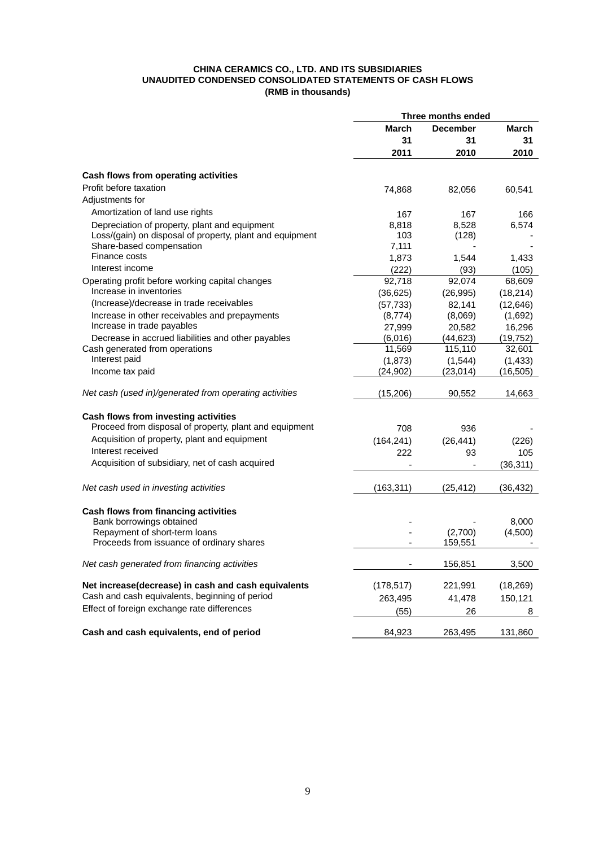#### **CHINA CERAMICS CO., LTD. AND ITS SUBSIDIARIES UNAUDITED CONDENSED CONSOLIDATED STATEMENTS OF CASH FLOWS (RMB in thousands)**

|                                                          | Three months ended |                 |           |
|----------------------------------------------------------|--------------------|-----------------|-----------|
|                                                          | March              | <b>December</b> | March     |
|                                                          | 31                 | 31              | 31        |
|                                                          | 2011               | 2010            | 2010      |
| Cash flows from operating activities                     |                    |                 |           |
| Profit before taxation                                   | 74,868             | 82,056          | 60,541    |
| Adjustments for                                          |                    |                 |           |
| Amortization of land use rights                          | 167                | 167             | 166       |
| Depreciation of property, plant and equipment            | 8,818              | 8,528           | 6,574     |
| Loss/(gain) on disposal of property, plant and equipment | 103                | (128)           |           |
| Share-based compensation                                 | 7,111              |                 |           |
| Finance costs                                            | 1,873              | 1,544           | 1,433     |
| Interest income                                          | (222)              | (93)            | (105)     |
| Operating profit before working capital changes          | 92,718             | 92,074          | 68,609    |
| Increase in inventories                                  | (36, 625)          | (26, 995)       | (18, 214) |
| (Increase)/decrease in trade receivables                 | (57, 733)          | 82,141          | (12, 646) |
| Increase in other receivables and prepayments            | (8,774)            | (8,069)         | (1,692)   |
| Increase in trade payables                               | 27,999             | 20,582          | 16,296    |
| Decrease in accrued liabilities and other payables       | (6,016)            | (44, 623)       | (19, 752) |
| Cash generated from operations                           | 11,569             | 115,110         | 32,601    |
| Interest paid                                            | (1,873)            | (1,544)         | (1, 433)  |
| Income tax paid                                          | (24, 902)          | (23, 014)       | (16, 505) |
| Net cash (used in)/generated from operating activities   | (15,206)           | 90,552          | 14,663    |
|                                                          |                    |                 |           |
| Cash flows from investing activities                     |                    |                 |           |
| Proceed from disposal of property, plant and equipment   | 708                | 936             |           |
| Acquisition of property, plant and equipment             | (164, 241)         | (26, 441)       | (226)     |
| Interest received                                        | 222                | 93              | 105       |
| Acquisition of subsidiary, net of cash acquired          |                    |                 | (36, 311) |
| Net cash used in investing activities                    | (163, 311)         | (25, 412)       | (36, 432) |
|                                                          |                    |                 |           |
| Cash flows from financing activities                     |                    |                 |           |
| Bank borrowings obtained                                 |                    |                 | 8,000     |
| Repayment of short-term loans                            |                    | (2,700)         | (4,500)   |
| Proceeds from issuance of ordinary shares                |                    | 159,551         |           |
| Net cash generated from financing activities             |                    | 156,851         | 3,500     |
| Net increase(decrease) in cash and cash equivalents      | (178, 517)         | 221,991         | (18, 269) |
| Cash and cash equivalents, beginning of period           | 263,495            | 41,478          | 150,121   |
| Effect of foreign exchange rate differences              | (55)               | 26              | 8         |
| Cash and cash equivalents, end of period                 | 84,923             | 263,495         | 131,860   |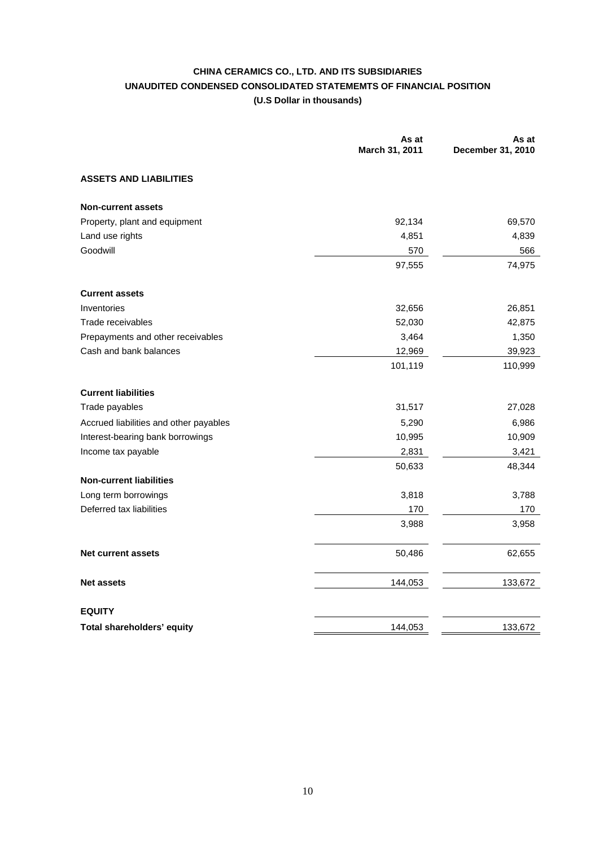## **CHINA CERAMICS CO., LTD. AND ITS SUBSIDIARIES UNAUDITED CONDENSED CONSOLIDATED STATEMEMTS OF FINANCIAL POSITION (U.S Dollar in thousands)**

|                                        | As at<br>March 31, 2011 | As at<br>December 31, 2010 |
|----------------------------------------|-------------------------|----------------------------|
| <b>ASSETS AND LIABILITIES</b>          |                         |                            |
| <b>Non-current assets</b>              |                         |                            |
| Property, plant and equipment          | 92,134                  | 69,570                     |
| Land use rights                        | 4,851                   | 4,839                      |
| Goodwill                               | 570                     | 566                        |
|                                        | 97,555                  | 74,975                     |
| <b>Current assets</b>                  |                         |                            |
| Inventories                            | 32,656                  | 26,851                     |
| Trade receivables                      | 52,030                  | 42,875                     |
| Prepayments and other receivables      | 3,464                   | 1,350                      |
| Cash and bank balances                 | 12,969                  | 39,923                     |
|                                        | 101,119                 | 110,999                    |
| <b>Current liabilities</b>             |                         |                            |
| Trade payables                         | 31,517                  | 27,028                     |
| Accrued liabilities and other payables | 5,290                   | 6,986                      |
| Interest-bearing bank borrowings       | 10,995                  | 10,909                     |
| Income tax payable                     | 2,831                   | 3,421                      |
|                                        | 50,633                  | 48,344                     |
| <b>Non-current liabilities</b>         |                         |                            |
| Long term borrowings                   | 3,818                   | 3,788                      |
| Deferred tax liabilities               | 170                     | 170                        |
|                                        | 3,988                   | 3,958                      |
| <b>Net current assets</b>              | 50,486                  | 62,655                     |
| <b>Net assets</b>                      | 144,053                 | 133,672                    |
| <b>EQUITY</b>                          |                         |                            |
| Total shareholders' equity             | 144,053                 | 133,672                    |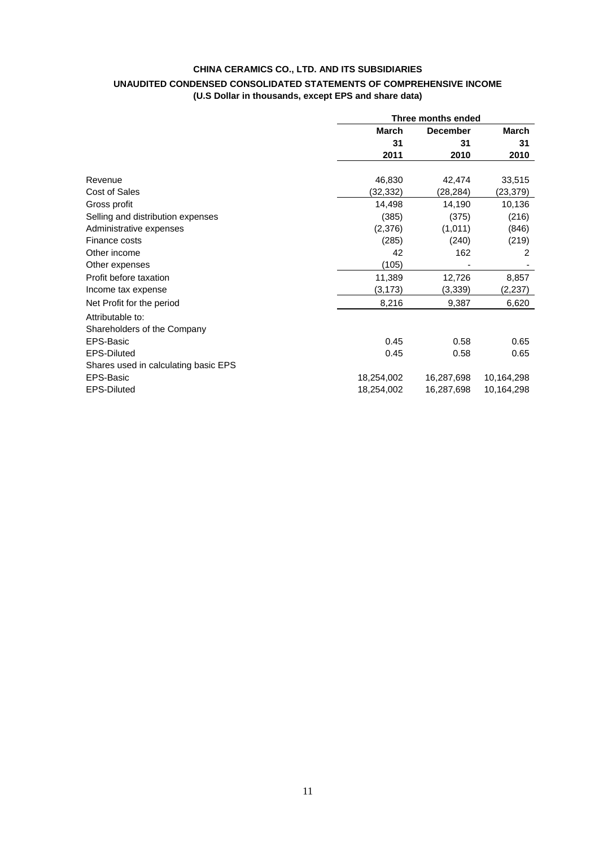## **CHINA CERAMICS CO., LTD. AND ITS SUBSIDIARIES UNAUDITED CONDENSED CONSOLIDATED STATEMENTS OF COMPREHENSIVE INCOME (U.S Dollar in thousands, except EPS and share data)**

|                                      |              | Three months ended |            |  |
|--------------------------------------|--------------|--------------------|------------|--|
|                                      | <b>March</b> | <b>December</b>    | March      |  |
|                                      | 31           | 31                 | 31         |  |
|                                      | 2011         | 2010               | 2010       |  |
| Revenue                              | 46,830       | 42,474             | 33,515     |  |
| Cost of Sales                        | (32, 332)    | (28,284)           | (23,379)   |  |
|                                      |              |                    |            |  |
| Gross profit                         | 14,498       | 14,190             | 10,136     |  |
| Selling and distribution expenses    | (385)        | (375)              | (216)      |  |
| Administrative expenses              | (2,376)      | (1,011)            | (846)      |  |
| Finance costs                        | (285)        | (240)              | (219)      |  |
| Other income                         | 42           | 162                | 2          |  |
| Other expenses                       | (105)        |                    |            |  |
| Profit before taxation               | 11,389       | 12,726             | 8,857      |  |
| Income tax expense                   | (3, 173)     | (3,339)            | (2, 237)   |  |
| Net Profit for the period            | 8,216        | 9,387              | 6,620      |  |
| Attributable to:                     |              |                    |            |  |
| Shareholders of the Company          |              |                    |            |  |
| EPS-Basic                            | 0.45         | 0.58               | 0.65       |  |
| <b>EPS-Diluted</b>                   | 0.45         | 0.58               | 0.65       |  |
| Shares used in calculating basic EPS |              |                    |            |  |
| EPS-Basic                            | 18,254,002   | 16,287,698         | 10,164,298 |  |
| <b>EPS-Diluted</b>                   | 18,254,002   | 16,287,698         | 10,164,298 |  |